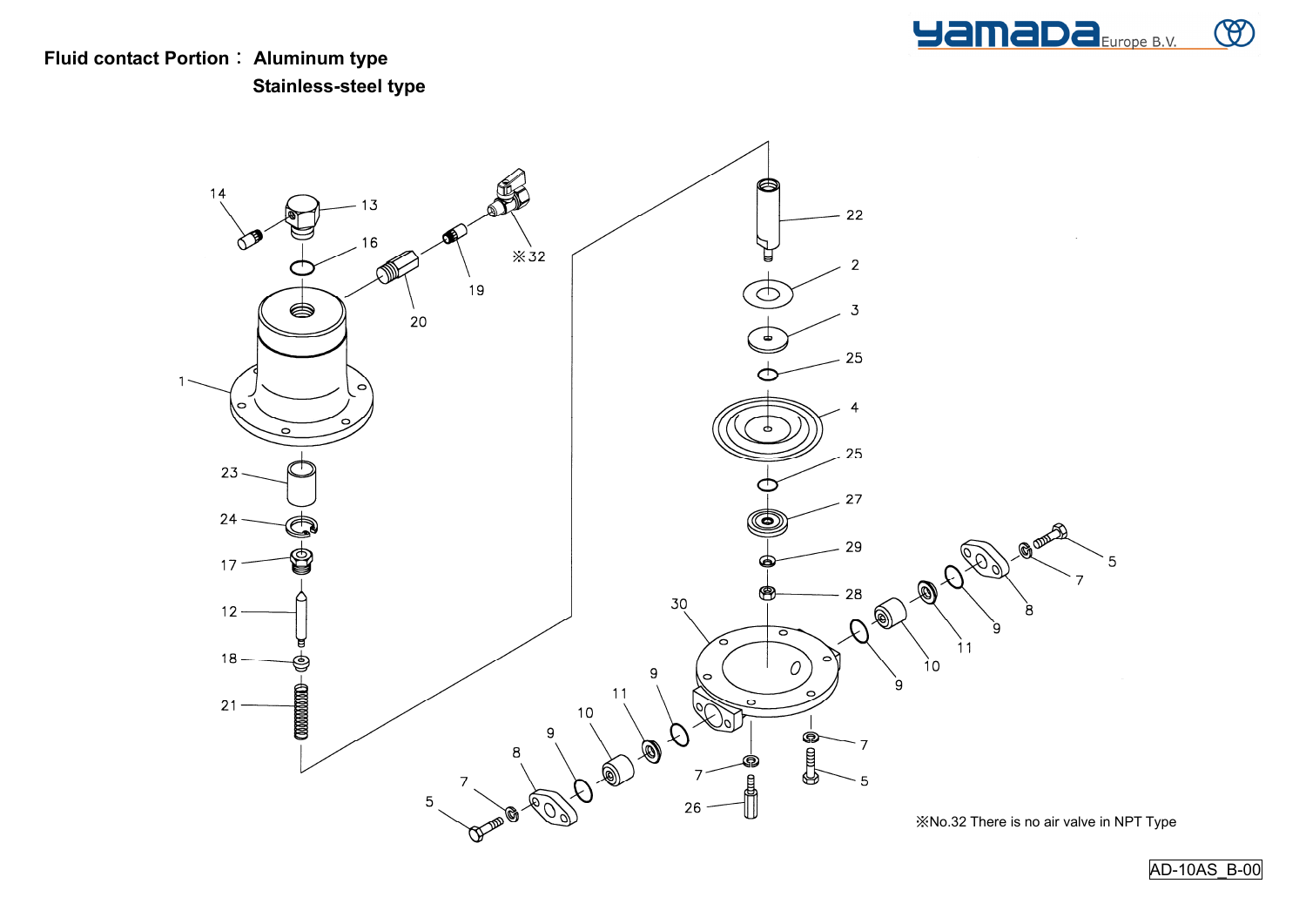

**Fluid contact Portion**: **Aluminum type Stainless-steel type**